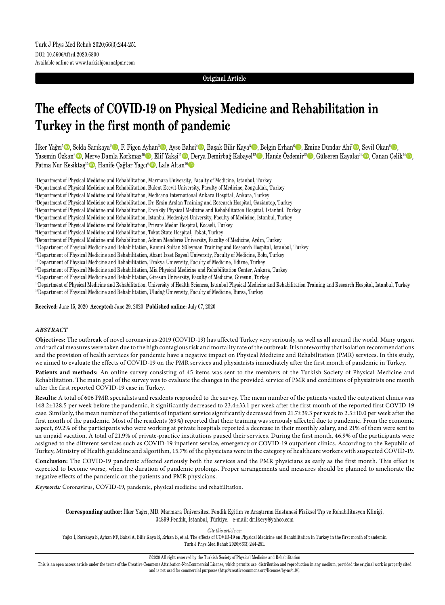## **Original Article**

# **The effects of COVID-19 on Physical Medicine and Rehabilitation in Turkey in the first month of pandemic**

İlker Yağcı<sup>1</sup>©, Selda Sarıkaya<sup>2</sup>©, F. Figen Ayhan<sup>3</sup>©, Ayse Bahsi<sup>4</sup>©, Başak Bilir Kaya<sup>s</sup>©, Belgin Erhan<sup>6</sup>©, Emine Dündar Ahi<sup>7</sup>©, Sevil Okan<sup>8</sup>©, Yasemin Özkan<sup>9</sup>©, Merve Damla Korkmaz<sup>10</sup>©, Elif Yakşi<sup>11</sup>©, Derya Demirbağ Kabayel<sup>12</sup>©, Hande Özdemir<sup>12</sup>©, Gülseren Kayalar<sup>13</sup>©, Canan Çelik<sup>14</sup>©, Fatma Nur Kesiktaş<sup>15</sup> D, Hanife Çağlar Yagcı<sup>6</sup> D, Lale Altan<sup>ı6</sup> D

1 Department of Physical Medicine and Rehabilitation, Marmara University, Faculty of Medicine, Istanbul, Turkey

2 Department of Physical Medicine and Rehabilitation, Bülent Ecevit University, Faculty of Medicine, Zonguldak, Turkey

3 Department of Physical Medicine and Rehabilitation, Medicana International Ankara Hospital, Ankara, Turkey

4 Department of Physical Medicine and Rehabilitation, Dr. Ersin Arslan Training and Research Hospital, Gaziantep, Turkey

5 Department of Physical Medicine and Rehabilitation, Erenköy Physical Medicine and Rehabilitation Hospital, Istanbul, Turkey

6 Department of Physical Medicine and Rehabilitation, Istanbul Medeniyet University, Faculty of Medicine, Istanbul, Turkey

7 Department of Physical Medicine and Rehabilitation, Private Medar Hospital, Kocaeli, Turkey

8 Department of Physical Medicine and Rehabilitation, Tokat State Hospital, Tokat, Turkey

9 Department of Physical Medicine and Rehabilitation, Adnan Menderes University, Faculty of Medicine, Aydın, Turkey

10Department of Physical Medicine and Rehabilitation, Kanuni Sultan Süleyman Training and Research Hospital, Istanbul, Turkey

11Department of Physical Medicine and Rehabilitation, Abant Izzet Baysal University, Faculty of Medicine, Bolu, Turkey

12Department of Physical Medicine and Rehabilitation, Trakya University, Faculty of Medicine, Edirne, Turkey

13Department of Physical Medicine and Rehabilitation, Mia Physical Medicine and Rehabilitation Center, Ankara, Turkey

<sup>14</sup>Department of Physical Medicine and Rehabilitation, Giresun University, Faculty of Medicine, Giresun, Turkey

<sup>15</sup>Department of Physical Medicine and Rehabilitation, University of Health Sciences, Istanbul Physical Medicine and Rehabilitation Training and Research Hospital, Istanbul, Turkey <sup>16</sup>Department of Physical Medicine and Rehabilitation, Uludağ University, Faculty of Medicine, Bursa, Turkey

**Received:** June 15, 2020 **Accepted:** June 29, 2020 **Published online:** July 07, 2020

## *ABSTRACT*

**Objectives:** The outbreak of novel coronavirus-2019 (COVID-19) has affected Turkey very seriously, as well as all around the world. Many urgent and radical measures were taken due to the high contagious risk and mortality rate of the outbreak. It is noteworthy that isolation recommendations and the provision of health services for pandemic have a negative impact on Physical Medicine and Rehabilitation (PMR) services. In this study, we aimed to evaluate the effects of COVID-19 on the PMR services and physiatrists immediately after the first month of pandemic in Turkey.

**Patients and methods:** An online survey consisting of 45 items was sent to the members of the Turkish Society of Physical Medicine and Rehabilitation. The main goal of the survey was to evaluate the changes in the provided service of PMR and conditions of physiatrists one month after the first reported COVID-19 case in Turkey.

**Results:** A total of 606 PMR specialists and residents responded to the survey. The mean number of the patients visited the outpatient clinics was 148.2±128.5 per week before the pandemic, it significantly decreased to 23.4±33.1 per week after the first month of the reported first COVID-19 case. Similarly, the mean number of the patients of inpatient service significantly decreased from 21.7±39.3 per week to 2.5±10.0 per week after the first month of the pandemic. Most of the residents (69%) reported that their training was seriously affected due to pandemic. From the economic aspect, 69.2% of the participants who were working at private hospitals reported a decrease in their monthly salary, and 21% of them were sent to an unpaid vacation. A total of 21.9% of private-practice institutions paused their services. During the first month, 46.9% of the participants were assigned to the different services such as COVID-19 inpatient service, emergency or COVID-19 outpatient clinics. According to the Republic of Turkey, Ministry of Health guideline and algorithm, 15.7% of the physicians were in the category of healthcare workers with suspected COVID-19.

**Conclusion:** The COVID-19 pandemic affected seriously both the services and the PMR physicians as early as the first month. This effect is expected to become worse, when the duration of pandemic prolongs. Proper arrangements and measures should be planned to ameliorate the negative effects of the pandemic on the patients and PMR physicians.

*Keywords:* Coronavirus, COVID-19, pandemic, physical medicine and rehabilitation.

**Corresponding author:** İlker Yağcı, MD. Marmara Üniversitesi Pendik Eğitim ve Araştırma Hastanesi Fiziksel Tıp ve Rehabilitasyon Kliniği, 34899 Pendik, İstanbul, Türkiye. e-mail: drilkery@yahoo.com

*Cite this article as:* Yağcı İ, Sarıkaya S, Ayhan FF, Bahsi A, Bilir Kaya B, Erhan B, et al. The effects of COVID-19 on Physical Medicine and Rehabilitation in Turkey in the first month of pandemic. Turk J Phys Med Rehab 2020;66(3):244-251.

©2020 All right reserved by the Turkish Society of Physical Medicine and Rehabilitation

This is an open access article under the terms of the Creative Commons Attribution-NonCommercial License, which permits use, distribution and reproduction in any medium, provided the original work is properly cited and is not used for commercial purposes (http://creativecommons.org/licenses/by-nc/4.0/).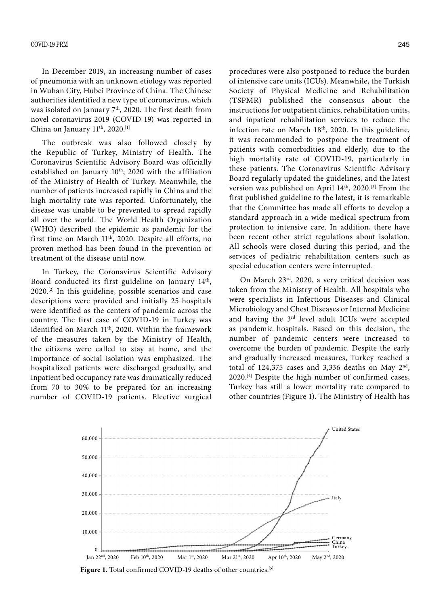In December 2019, an increasing number of cases of pneumonia with an unknown etiology was reported in Wuhan City, Hubei Province of China. The Chinese authorities identified a new type of coronavirus, which was isolated on January 7<sup>th</sup>, 2020. The first death from novel coronavirus-2019 (COVID-19) was reported in China on January 11<sup>th</sup>, 2020.<sup>[1]</sup>

The outbreak was also followed closely by the Republic of Turkey, Ministry of Health. The Coronavirus Scientific Advisory Board was officially established on January 10<sup>th</sup>, 2020 with the affiliation of the Ministry of Health of Turkey. Meanwhile, the number of patients increased rapidly in China and the high mortality rate was reported. Unfortunately, the disease was unable to be prevented to spread rapidly all over the world. The World Health Organization (WHO) described the epidemic as pandemic for the first time on March 11th, 2020. Despite all efforts, no proven method has been found in the prevention or treatment of the disease until now.

In Turkey, the Coronavirus Scientific Advisory Board conducted its first guideline on January 14th, 2020.[2] In this guideline, possible scenarios and case descriptions were provided and initially 25 hospitals were identified as the centers of pandemic across the country. The first case of COVID-19 in Turkey was identified on March 11<sup>th</sup>, 2020. Within the framework of the measures taken by the Ministry of Health, the citizens were called to stay at home, and the importance of social isolation was emphasized. The hospitalized patients were discharged gradually, and inpatient bed occupancy rate was dramatically reduced from 70 to 30% to be prepared for an increasing number of COVID-19 patients. Elective surgical procedures were also postponed to reduce the burden of intensive care units (ICUs). Meanwhile, the Turkish Society of Physical Medicine and Rehabilitation (TSPMR) published the consensus about the instructions for outpatient clinics, rehabilitation units, and inpatient rehabilitation services to reduce the infection rate on March 18<sup>th</sup>, 2020. In this guideline, it was recommended to postpone the treatment of patients with comorbidities and elderly, due to the high mortality rate of COVID-19, particularly in these patients. The Coronavirus Scientific Advisory Board regularly updated the guidelines, and the latest version was published on April 14<sup>th</sup>, 2020.<sup>[3]</sup> From the first published guideline to the latest, it is remarkable that the Committee has made all efforts to develop a standard approach in a wide medical spectrum from protection to intensive care. In addition, there have been recent other strict regulations about isolation. All schools were closed during this period, and the services of pediatric rehabilitation centers such as special education centers were interrupted.

On March 23rd, 2020, a very critical decision was taken from the Ministry of Health. All hospitals who were specialists in Infectious Diseases and Clinical Microbiology and Chest Diseases or Internal Medicine and having the 3rd level adult ICUs were accepted as pandemic hospitals. Based on this decision, the number of pandemic centers were increased to overcome the burden of pandemic. Despite the early and gradually increased measures, Turkey reached a total of 124,375 cases and 3,336 deaths on May  $2<sup>nd</sup>$ , 2020.[4] Despite the high number of confirmed cases, Turkey has still a lower mortality rate compared to other countries (Figure 1). The Ministry of Health has



Figure 1. Total confirmed COVID-19 deaths of other countries.<sup>[5]</sup>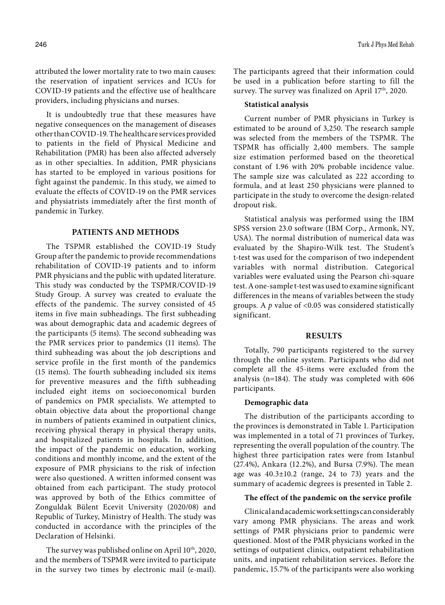attributed the lower mortality rate to two main causes: the reservation of inpatient services and ICUs for COVID-19 patients and the effective use of healthcare providers, including physicians and nurses.

It is undoubtedly true that these measures have negative consequences on the management of diseases other than COVID-19. The healthcare services provided to patients in the field of Physical Medicine and Rehabilitation (PMR) has been also affected adversely as in other specialties. In addition, PMR physicians has started to be employed in various positions for fight against the pandemic. In this study, we aimed to evaluate the effects of COVID-19 on the PMR services and physiatrists immediately after the first month of pandemic in Turkey.

## **PATIENTS AND METHODS**

The TSPMR established the COVID-19 Study Group after the pandemic to provide recommendations rehabilitation of COVID-19 patients and to inform PMR physicians and the public with updated literature. This study was conducted by the TSPMR/COVID-19 Study Group. A survey was created to evaluate the effects of the pandemic. The survey consisted of 45 items in five main subheadings. The first subheading was about demographic data and academic degrees of the participants (5 items). The second subheading was the PMR services prior to pandemics (11 items). The third subheading was about the job descriptions and service profile in the first month of the pandemics (15 items). The fourth subheading included six items for preventive measures and the fifth subheading included eight items on socioeconomical burden of pandemics on PMR specialists. We attempted to obtain objective data about the proportional change in numbers of patients examined in outpatient clinics, receiving physical therapy in physical therapy units, and hospitalized patients in hospitals. In addition, the impact of the pandemic on education, working conditions and monthly income, and the extent of the exposure of PMR physicians to the risk of infection were also questioned. A written informed consent was obtained from each participant. The study protocol was approved by both of the Ethics committee of Zonguldak Bülent Ecevit University (2020/08) and Republic of Turkey, Ministry of Health. The study was conducted in accordance with the principles of the Declaration of Helsinki.

The survey was published online on April 10<sup>th</sup>, 2020, and the members of TSPMR were invited to participate in the survey two times by electronic mail (e-mail).

The participants agreed that their information could be used in a publication before starting to fill the survey. The survey was finalized on April 17<sup>th</sup>, 2020.

## **Statistical analysis**

Current number of PMR physicians in Turkey is estimated to be around of 3,250. The research sample was selected from the members of the TSPMR. The TSPMR has officially 2,400 members. The sample size estimation performed based on the theoretical constant of 1.96 with 20% probable incidence value. The sample size was calculated as 222 according to formula, and at least 250 physicians were planned to participate in the study to overcome the design-related dropout risk.

Statistical analysis was performed using the IBM SPSS version 23.0 software (IBM Corp., Armonk, NY, USA). The normal distribution of numerical data was evaluated by the Shapiro-Wilk test. The Student's t-test was used for the comparison of two independent variables with normal distribution. Categorical variables were evaluated using the Pearson chi-square test. A one-sample t-test was used to examine significant differences in the means of variables between the study groups. A *p* value of <0.05 was considered statistically significant.

## **RESULTS**

Totally, 790 participants registered to the survey through the online system. Participants who did not complete all the 45-items were excluded from the analysis (n=184). The study was completed with 606 participants.

## **Demographic data**

The distribution of the participants according to the provinces is demonstrated in Table 1. Participation was implemented in a total of 71 provinces of Turkey, representing the overall population of the country. The highest three participation rates were from Istanbul (27.4%), Ankara (12.2%), and Bursa (7.9%). The mean age was  $40.3 \pm 10.2$  (range, 24 to 73) years and the summary of academic degrees is presented in Table 2.

#### **The effect of the pandemic on the service profile**

Clinical and academic work settings can considerably vary among PMR physicians. The areas and work settings of PMR physicians prior to pandemic were questioned. Most of the PMR physicians worked in the settings of outpatient clinics, outpatient rehabilitation units, and inpatient rehabilitation services. Before the pandemic, 15.7% of the participants were also working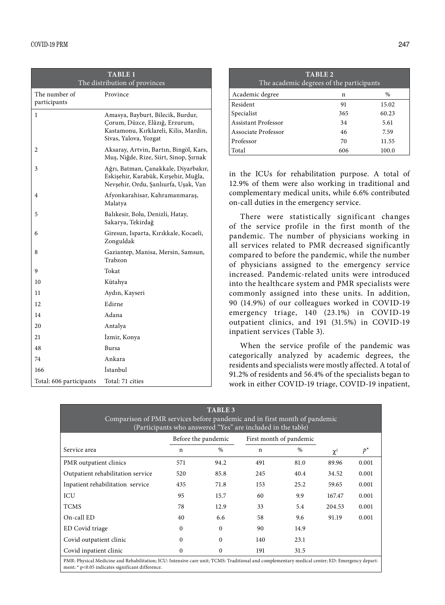| <b>TABLE 1</b><br>The distribution of provinces |                                                                                                                                       |  |  |
|-------------------------------------------------|---------------------------------------------------------------------------------------------------------------------------------------|--|--|
| The number of<br>participants                   | Province                                                                                                                              |  |  |
| 1                                               | Amasya, Bayburt, Bilecik, Burdur,<br>Çorum, Düzce, Elâzığ, Erzurum,<br>Kastamonu, Kırklareli, Kilis, Mardin,<br>Sivas, Yalova, Yozgat |  |  |
| 2                                               | Aksaray, Artvin, Bartın, Bingöl, Kars,<br>Muş, Niğde, Rize, Siirt, Sinop, Şırnak                                                      |  |  |
| 3                                               | Ağrı, Batman, Çanakkale, Diyarbakır,<br>Eskişehir, Karabük, Kırşehir, Muğla,<br>Nevşehir, Ordu, Şanlıurfa, Uşak, Van                  |  |  |
| 4                                               | Afyonkarahisar, Kahramanmaraş,<br>Malatya                                                                                             |  |  |
| 5                                               | Balıkesir, Bolu, Denizli, Hatay,<br>Sakarya, Tekirdağ                                                                                 |  |  |
| 6                                               | Giresun, Isparta, Kırıkkale, Kocaeli,<br>Zonguldak                                                                                    |  |  |
| 8                                               | Gaziantep, Manisa, Mersin, Samsun,<br>Trabzon                                                                                         |  |  |
| 9                                               | Tokat                                                                                                                                 |  |  |
| 10                                              | Kütahya                                                                                                                               |  |  |
| 11                                              | Aydın, Kayseri                                                                                                                        |  |  |
| 12                                              | Edirne                                                                                                                                |  |  |
| 14                                              | Adana                                                                                                                                 |  |  |
| 20                                              | Antalya                                                                                                                               |  |  |
| 21                                              | Izmir, Konya                                                                                                                          |  |  |
| 48                                              | Bursa                                                                                                                                 |  |  |
| 74                                              | Ankara                                                                                                                                |  |  |
| 166                                             | <i>Istanbul</i>                                                                                                                       |  |  |
| Total: 606 participants                         | Total: 71 cities                                                                                                                      |  |  |

| TABLE <sub>2</sub><br>The academic degrees of the participants |     |       |  |  |
|----------------------------------------------------------------|-----|-------|--|--|
| Academic degree                                                | n   | %     |  |  |
| Resident                                                       | 91  | 15.02 |  |  |
| Specialist                                                     | 365 | 60.23 |  |  |
| Assistant Professor                                            | 34  | 5.61  |  |  |
| Associate Professor                                            | 46  | 7.59  |  |  |
| Professor                                                      | 70  | 11.55 |  |  |
| Total                                                          | 606 | 100.0 |  |  |

in the ICUs for rehabilitation purpose. A total of 12.9% of them were also working in traditional and complementary medical units, while 6.6% contributed on-call duties in the emergency service.

There were statistically significant changes of the service profile in the first month of the pandemic. The number of physicians working in all services related to PMR decreased significantly compared to before the pandemic, while the number of physicians assigned to the emergency service increased. Pandemic-related units were introduced into the healthcare system and PMR specialists were commonly assigned into these units. In addition, 90 (14.9%) of our colleagues worked in COVID-19 emergency triage, 140 (23.1%) in COVID-19 outpatient clinics, and 191 (31.5%) in COVID-19 inpatient services (Table 3).

When the service profile of the pandemic was categorically analyzed by academic degrees, the residents and specialists were mostly affected. A total of 91.2% of residents and 56.4% of the specialists began to work in either COVID-19 triage, COVID-19 inpatient,

| <b>TABLE 3</b><br>Comparison of PMR services before pandemic and in first month of pandemic<br>(Participants who answered "Yes" are included in the table) |                  |                     |     |                         |          |       |
|------------------------------------------------------------------------------------------------------------------------------------------------------------|------------------|---------------------|-----|-------------------------|----------|-------|
|                                                                                                                                                            |                  | Before the pandemic |     | First month of pandemic |          |       |
| Service area                                                                                                                                               | n                | $\frac{0}{0}$       | n   | $\%$                    | $\chi^2$ | $p^*$ |
| PMR outpatient clinics                                                                                                                                     | 571              | 94.2                | 491 | 81.0                    | 89.96    | 0.001 |
| Outpatient rehabilitation service                                                                                                                          | 520              | 85.8                | 245 | 40.4                    | 34.52    | 0.001 |
| Inpatient rehabilitation service                                                                                                                           | 435              | 71.8                | 153 | 25.2                    | 59.65    | 0.001 |
| ICU                                                                                                                                                        | 95               | 15.7                | 60  | 9.9                     | 167.47   | 0.001 |
| <b>TCMS</b>                                                                                                                                                | 78               | 12.9                | 33  | 5.4                     | 204.53   | 0.001 |
| On-call ED                                                                                                                                                 | 40               | 6.6                 | 58  | 9.6                     | 91.19    | 0.001 |
| ED Covid triage                                                                                                                                            | $\Omega$         | $\Omega$            | 90  | 14.9                    |          |       |
| Covid outpatient clinic                                                                                                                                    | 0                | $\Omega$            | 140 | 23.1                    |          |       |
| Covid inpatient clinic                                                                                                                                     | $\boldsymbol{0}$ | $\Omega$            | 191 | 31.5                    |          |       |
| PMR: Physical Medicine and Rehabilitation; ICU: Intensive care unit; TCMS: Traditional and complementary medical center; ED: Emergency depart-             |                  |                     |     |                         |          |       |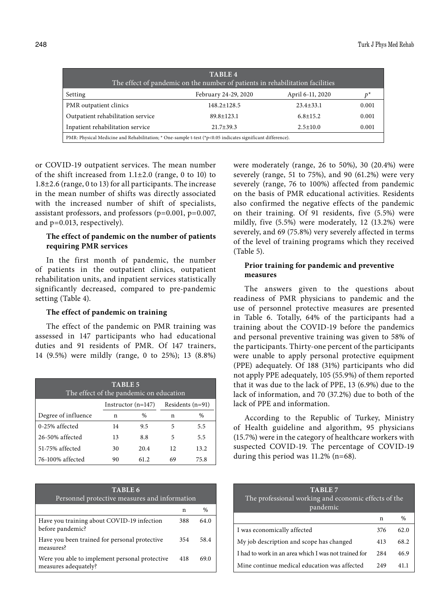| TABLE 4<br>The effect of pandemic on the number of patients in rehabilitation facilities                   |                      |                  |       |  |  |
|------------------------------------------------------------------------------------------------------------|----------------------|------------------|-------|--|--|
| Setting                                                                                                    | February 24-29, 2020 | April 6-11, 2020 |       |  |  |
| PMR outpatient clinics                                                                                     | $148.2 \pm 128.5$    | $23.4 \pm 33.1$  | 0.001 |  |  |
| Outpatient rehabilitation service                                                                          | $89.8 \pm 123.1$     | $6.8 \pm 15.2$   | 0.001 |  |  |
| Inpatient rehabilitation service                                                                           | $21.7 + 39.3$        | $2.5 \pm 10.0$   | 0.001 |  |  |
| PMR: Physical Medicine and Rehabilitation; * One-sample t-test (*p<0.05 indicates significant difference). |                      |                  |       |  |  |

or COVID-19 outpatient services. The mean number of the shift increased from  $1.1\pm2.0$  (range, 0 to 10) to 1.8±2.6 (range, 0 to 13) for all participants. The increase in the mean number of shifts was directly associated with the increased number of shift of specialists, assistant professors, and professors (p=0.001, p=0.007, and p=0.013, respectively).

# **The effect of pandemic on the number of patients requiring PMR services**

In the first month of pandemic, the number of patients in the outpatient clinics, outpatient rehabilitation units, and inpatient services statistically significantly decreased, compared to pre-pandemic setting (Table 4).

# **The effect of pandemic on training**

The effect of the pandemic on PMR training was assessed in 147 participants who had educational duties and 91 residents of PMR. Of 147 trainers, 14 (9.5%) were mildly (range, 0 to 25%); 13 (8.8%)

| <b>TABLE 5</b><br>The effect of the pandemic on education |    |                      |    |                    |  |
|-----------------------------------------------------------|----|----------------------|----|--------------------|--|
|                                                           |    | Instructor $(n=147)$ |    | Residents $(n=91)$ |  |
| Degree of influence                                       | n  | $\%$                 | n  | $\%$               |  |
| $0-25%$ affected                                          | 14 | 9.5                  | 5  | 5.5                |  |
| $26-50%$ affected                                         | 13 | 8.8                  | 5  | 5.5                |  |
| 51-75% affected                                           | 30 | 20.4                 | 12 | 13.2               |  |
| 76-100% affected                                          | 90 | 61.2                 | 69 | 75.8               |  |

| TABLE <sub>6</sub><br>Personnel protective measures and information    |     |      |  |  |
|------------------------------------------------------------------------|-----|------|--|--|
|                                                                        | n   | $\%$ |  |  |
| Have you training about COVID-19 infection<br>before pandemic?         | 388 | 64.0 |  |  |
| Have you been trained for personal protective<br>measures?             | 354 | 58.4 |  |  |
| Were you able to implement personal protective<br>measures adequately? | 418 | 69.0 |  |  |

were moderately (range, 26 to 50%), 30 (20.4%) were severely (range, 51 to 75%), and 90 (61.2%) were very severely (range, 76 to 100%) affected from pandemic on the basis of PMR educational activities. Residents also confirmed the negative effects of the pandemic on their training. Of 91 residents, five (5.5%) were mildly, five (5.5%) were moderately, 12 (13.2%) were severely, and 69 (75.8%) very severely affected in terms of the level of training programs which they received (Table 5).

# **Prior training for pandemic and preventive measures**

The answers given to the questions about readiness of PMR physicians to pandemic and the use of personnel protective measures are presented in Table 6. Totally, 64% of the participants had a training about the COVID-19 before the pandemics and personal preventive training was given to 58% of the participants. Thirty-one percent of the participants were unable to apply personal protective equipment (PPE) adequately. Of 188 (31%) participants who did not apply PPE adequately, 105 (55.9%) of them reported that it was due to the lack of PPE, 13 (6.9%) due to the lack of information, and 70 (37.2%) due to both of the lack of PPE and information.

According to the Republic of Turkey, Ministry of Health guideline and algorithm, 95 physicians (15.7%) were in the category of healthcare workers with suspected COVID-19. The percentage of COVID-19 during this period was 11.2% (n=68).

| TABLE 7<br>The professional working and economic effects of the<br>pandemic |      |      |  |  |
|-----------------------------------------------------------------------------|------|------|--|--|
|                                                                             | n    | $\%$ |  |  |
| I was economically affected                                                 | 376  | 62.0 |  |  |
| My job description and scope has changed                                    | 413  | 68.2 |  |  |
| I had to work in an area which I was not trained for                        | 2.84 | 46.9 |  |  |
| Mine continue medical education was affected                                | 249  |      |  |  |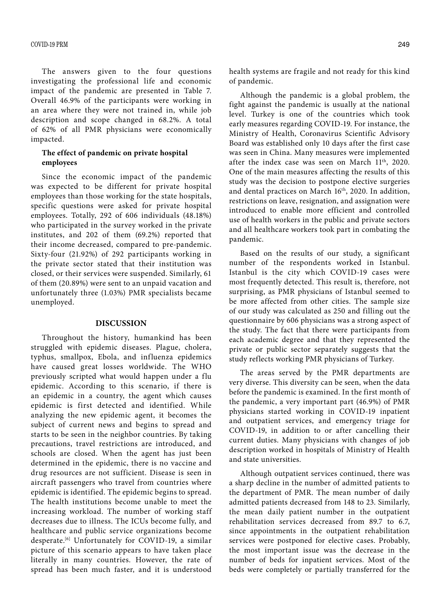The answers given to the four questions investigating the professional life and economic impact of the pandemic are presented in Table 7. Overall 46.9% of the participants were working in an area where they were not trained in, while job description and scope changed in 68.2%. A total of 62% of all PMR physicians were economically impacted.

## **The effect of pandemic on private hospital employees**

Since the economic impact of the pandemic was expected to be different for private hospital employees than those working for the state hospitals, specific questions were asked for private hospital employees. Totally, 292 of 606 individuals (48.18%) who participated in the survey worked in the private institutes, and 202 of them (69.2%) reported that their income decreased, compared to pre-pandemic. Sixty-four (21.92%) of 292 participants working in the private sector stated that their institution was closed, or their services were suspended. Similarly, 61 of them (20.89%) were sent to an unpaid vacation and unfortunately three (1.03%) PMR specialists became unemployed.

## **DISCUSSION**

Throughout the history, humankind has been struggled with epidemic diseases. Plague, cholera, typhus, smallpox, Ebola, and influenza epidemics have caused great losses worldwide. The WHO previously scripted what would happen under a flu epidemic. According to this scenario, if there is an epidemic in a country, the agent which causes epidemic is first detected and identified. While analyzing the new epidemic agent, it becomes the subject of current news and begins to spread and starts to be seen in the neighbor countries. By taking precautions, travel restrictions are introduced, and schools are closed. When the agent has just been determined in the epidemic, there is no vaccine and drug resources are not sufficient. Disease is seen in aircraft passengers who travel from countries where epidemic is identified. The epidemic begins to spread. The health institutions become unable to meet the increasing workload. The number of working staff decreases due to illness. The ICUs become fully, and healthcare and public service organizations become desperate.[6] Unfortunately for COVID-19, a similar picture of this scenario appears to have taken place literally in many countries. However, the rate of spread has been much faster, and it is understood

health systems are fragile and not ready for this kind of pandemic.

Although the pandemic is a global problem, the fight against the pandemic is usually at the national level. Turkey is one of the countries which took early measures regarding COVID-19. For instance, the Ministry of Health, Coronavirus Scientific Advisory Board was established only 10 days after the first case was seen in China. Many measures were implemented after the index case was seen on March 11<sup>th</sup>, 2020. One of the main measures affecting the results of this study was the decision to postpone elective surgeries and dental practices on March 16<sup>th</sup>, 2020. In addition, restrictions on leave, resignation, and assignation were introduced to enable more efficient and controlled use of health workers in the public and private sectors and all healthcare workers took part in combating the pandemic.

Based on the results of our study, a significant number of the respondents worked in Istanbul. Istanbul is the city which COVID-19 cases were most frequently detected. This result is, therefore, not surprising, as PMR physicians of Istanbul seemed to be more affected from other cities. The sample size of our study was calculated as 250 and filling out the questionnaire by 606 physicians was a strong aspect of the study. The fact that there were participants from each academic degree and that they represented the private or public sector separately suggests that the study reflects working PMR physicians of Turkey.

The areas served by the PMR departments are very diverse. This diversity can be seen, when the data before the pandemic is examined. In the first month of the pandemic, a very important part (46.9%) of PMR physicians started working in COVID-19 inpatient and outpatient services, and emergency triage for COVID-19, in addition to or after cancelling their current duties. Many physicians with changes of job description worked in hospitals of Ministry of Health and state universities.

Although outpatient services continued, there was a sharp decline in the number of admitted patients to the department of PMR. The mean number of daily admitted patients decreased from 148 to 23. Similarly, the mean daily patient number in the outpatient rehabilitation services decreased from 89.7 to 6.7, since appointments in the outpatient rehabilitation services were postponed for elective cases. Probably, the most important issue was the decrease in the number of beds for inpatient services. Most of the beds were completely or partially transferred for the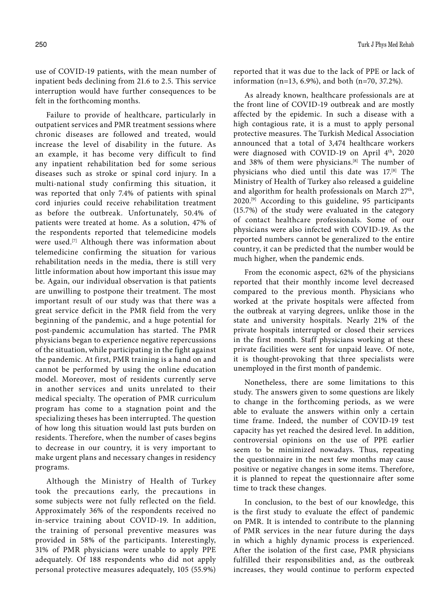use of COVID-19 patients, with the mean number of inpatient beds declining from 21.6 to 2.5. This service interruption would have further consequences to be felt in the forthcoming months.

Failure to provide of healthcare, particularly in outpatient services and PMR treatment sessions where chronic diseases are followed and treated, would increase the level of disability in the future. As an example, it has become very difficult to find any inpatient rehabilitation bed for some serious diseases such as stroke or spinal cord injury. In a multi-national study confirming this situation, it was reported that only 7.4% of patients with spinal cord injuries could receive rehabilitation treatment as before the outbreak. Unfortunately, 50.4% of patients were treated at home. As a solution, 47% of the respondents reported that telemedicine models were used.<sup>[7]</sup> Although there was information about telemedicine confirming the situation for various rehabilitation needs in the media, there is still very little information about how important this issue may be. Again, our individual observation is that patients are unwilling to postpone their treatment. The most important result of our study was that there was a great service deficit in the PMR field from the very beginning of the pandemic, and a huge potential for post-pandemic accumulation has started. The PMR physicians began to experience negative repercussions of the situation, while participating in the fight against the pandemic. At first, PMR training is a hand on and cannot be performed by using the online education model. Moreover, most of residents currently serve in another services and units unrelated to their medical specialty. The operation of PMR curriculum program has come to a stagnation point and the specializing theses has been interrupted. The question of how long this situation would last puts burden on residents. Therefore, when the number of cases begins to decrease in our country, it is very important to make urgent plans and necessary changes in residency programs.

Although the Ministry of Health of Turkey took the precautions early, the precautions in some subjects were not fully reflected on the field. Approximately 36% of the respondents received no in-service training about COVID-19. In addition, the training of personal preventive measures was provided in 58% of the participants. Interestingly, 31% of PMR physicians were unable to apply PPE adequately. Of 188 respondents who did not apply personal protective measures adequately, 105 (55.9%)

reported that it was due to the lack of PPE or lack of information (n=13, 6.9%), and both (n=70, 37.2%).

As already known, healthcare professionals are at the front line of COVID-19 outbreak and are mostly affected by the epidemic. In such a disease with a high contagious rate, it is a must to apply personal protective measures. The Turkish Medical Association announced that a total of 3,474 healthcare workers were diagnosed with COVID-19 on April 4<sup>th</sup>, 2020 and 38% of them were physicians.<sup>[8]</sup> The number of physicians who died until this date was 17.[8] The Ministry of Health of Turkey also released a guideline and algorithm for health professionals on March 27<sup>th</sup>,  $2020$ <sup>[9]</sup> According to this guideline, 95 participants (15.7%) of the study were evaluated in the category of contact healthcare professionals. Some of our physicians were also infected with COVID-19. As the reported numbers cannot be generalized to the entire country, it can be predicted that the number would be much higher, when the pandemic ends.

From the economic aspect, 62% of the physicians reported that their monthly income level decreased compared to the previous month. Physicians who worked at the private hospitals were affected from the outbreak at varying degrees, unlike those in the state and university hospitals. Nearly 21% of the private hospitals interrupted or closed their services in the first month. Staff physicians working at these private facilities were sent for unpaid leave. Of note, it is thought-provoking that three specialists were unemployed in the first month of pandemic.

Nonetheless, there are some limitations to this study. The answers given to some questions are likely to change in the forthcoming periods, as we were able to evaluate the answers within only a certain time frame. Indeed, the number of COVID-19 test capacity has yet reached the desired level. In addition, controversial opinions on the use of PPE earlier seem to be minimized nowadays. Thus, repeating the questionnaire in the next few months may cause positive or negative changes in some items. Therefore, it is planned to repeat the questionnaire after some time to track these changes.

In conclusion, to the best of our knowledge, this is the first study to evaluate the effect of pandemic on PMR. It is intended to contribute to the planning of PMR services in the near future during the days in which a highly dynamic process is experienced. After the isolation of the first case, PMR physicians fulfilled their responsibilities and, as the outbreak increases, they would continue to perform expected